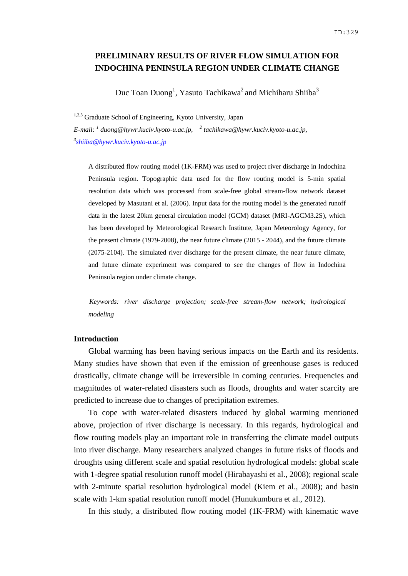# **PRELIMINARY RESULTS OF RIVER FLOW SIMULATION FOR INDOCHINA PENINSULA REGION UNDER CLIMATE CHANGE**

Duc Toan Duong<sup>1</sup>, Yasuto Tachikawa<sup>2</sup> and Michiharu Shiiba<sup>3</sup>

<sup>1,2,3</sup> Graduate School of Engineering, Kyoto University, Japan *E-mail: <sup>1</sup> duong@hywr.kuciv.kyoto-u.ac.jp, <sup>2</sup> tachikawa@hywr.kuciv.kyoto-u.ac.jp, 3 shiiba@hywr.kuciv.kyoto-u.ac.jp*

A distributed flow routing model (1K-FRM) was used to project river discharge in Indochina Peninsula region. Topographic data used for the flow routing model is 5-min spatial resolution data which was processed from scale-free global stream-flow network dataset developed by Masutani et al. (2006). Input data for the routing model is the generated runoff data in the latest 20km general circulation model (GCM) dataset (MRI-AGCM3.2S), which has been developed by Meteorological Research Institute, Japan Meteorology Agency, for the present climate (1979-2008), the near future climate (2015 - 2044), and the future climate (2075-2104). The simulated river discharge for the present climate, the near future climate, and future climate experiment was compared to see the changes of flow in Indochina Peninsula region under climate change.

*Keywords: river discharge projection; scale-free stream-flow network; hydrological modeling* 

## **Introduction**

 Global warming has been having serious impacts on the Earth and its residents. Many studies have shown that even if the emission of greenhouse gases is reduced drastically, climate change will be irreversible in coming centuries. Frequencies and magnitudes of water-related disasters such as floods, droughts and water scarcity are predicted to increase due to changes of precipitation extremes.

 To cope with water-related disasters induced by global warming mentioned above, projection of river discharge is necessary. In this regards, hydrological and flow routing models play an important role in transferring the climate model outputs into river discharge. Many researchers analyzed changes in future risks of floods and droughts using different scale and spatial resolution hydrological models: global scale with 1-degree spatial resolution runoff model (Hirabayashi et al., 2008); regional scale with 2-minute spatial resolution hydrological model (Kiem et al., 2008); and basin scale with 1-km spatial resolution runoff model (Hunukumbura et al., 2012).

In this study, a distributed flow routing model (1K-FRM) with kinematic wave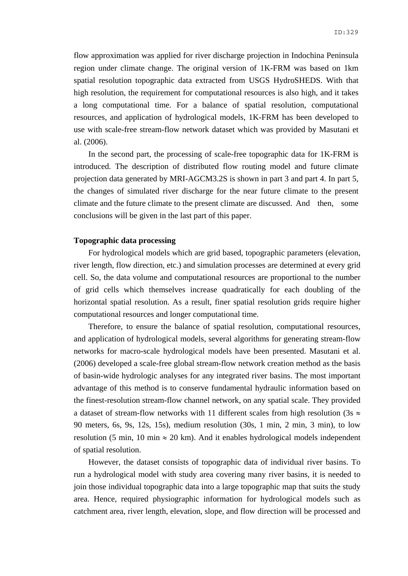flow approximation was applied for river discharge projection in Indochina Peninsula region under climate change. The original version of 1K-FRM was based on 1km spatial resolution topographic data extracted from USGS HydroSHEDS. With that high resolution, the requirement for computational resources is also high, and it takes a long computational time. For a balance of spatial resolution, computational resources, and application of hydrological models, 1K-FRM has been developed to use with scale-free stream-flow network dataset which was provided by Masutani et al. (2006).

 In the second part, the processing of scale-free topographic data for 1K-FRM is introduced. The description of distributed flow routing model and future climate projection data generated by MRI-AGCM3.2S is shown in part 3 and part 4. In part 5, the changes of simulated river discharge for the near future climate to the present climate and the future climate to the present climate are discussed. And then, some conclusions will be given in the last part of this paper.

#### **Topographic data processing**

 For hydrological models which are grid based, topographic parameters (elevation, river length, flow direction, etc.) and simulation processes are determined at every grid cell. So, the data volume and computational resources are proportional to the number of grid cells which themselves increase quadratically for each doubling of the horizontal spatial resolution. As a result, finer spatial resolution grids require higher computational resources and longer computational time.

 Therefore, to ensure the balance of spatial resolution, computational resources, and application of hydrological models, several algorithms for generating stream-flow networks for macro-scale hydrological models have been presented. Masutani et al. (2006) developed a scale-free global stream-flow network creation method as the basis of basin-wide hydrologic analyses for any integrated river basins. The most important advantage of this method is to conserve fundamental hydraulic information based on the finest-resolution stream-flow channel network, on any spatial scale. They provided a dataset of stream-flow networks with 11 different scales from high resolution (3s  $\approx$ 90 meters, 6s, 9s, 12s, 15s), medium resolution (30s, 1 min, 2 min, 3 min), to low resolution (5 min, 10 min  $\approx$  20 km). And it enables hydrological models independent of spatial resolution.

 However, the dataset consists of topographic data of individual river basins. To run a hydrological model with study area covering many river basins, it is needed to join those individual topographic data into a large topographic map that suits the study area. Hence, required physiographic information for hydrological models such as catchment area, river length, elevation, slope, and flow direction will be processed and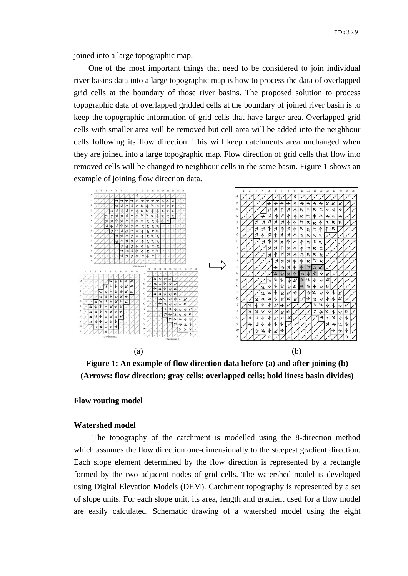joined into a large topographic map.

 One of the most important things that need to be considered to join individual river basins data into a large topographic map is how to process the data of overlapped grid cells at the boundary of those river basins. The proposed solution to process topographic data of overlapped gridded cells at the boundary of joined river basin is to keep the topographic information of grid cells that have larger area. Overlapped grid cells with smaller area will be removed but cell area will be added into the neighbour cells following its flow direction. This will keep catchments area unchanged when they are joined into a large topographic map. Flow direction of grid cells that flow into removed cells will be changed to neighbour cells in the same basin. Figure 1 shows an example of joining flow direction data.



**Figure 1: An example of flow direction data before (a) and after joining (b) (Arrows: flow direction; gray cells: overlapped cells; bold lines: basin divides)** 

### **Flow routing model**

#### **Watershed model**

 The topography of the catchment is modelled using the 8-direction method which assumes the flow direction one-dimensionally to the steepest gradient direction. Each slope element determined by the flow direction is represented by a rectangle formed by the two adjacent nodes of grid cells. The watershed model is developed using Digital Elevation Models (DEM). Catchment topography is represented by a set of slope units. For each slope unit, its area, length and gradient used for a flow model are easily calculated. Schematic drawing of a watershed model using the eight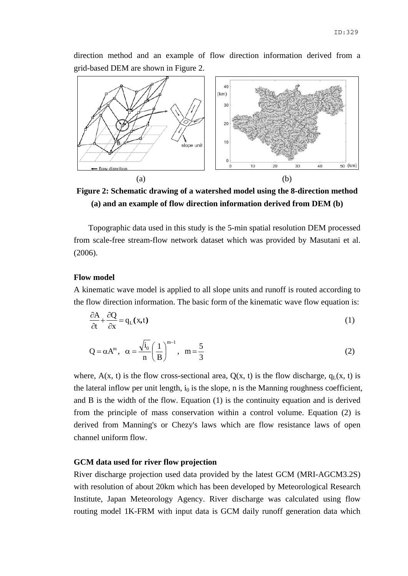direction method and an example of flow direction information derived from a grid-based DEM are shown in Figure 2.



**Figure 2: Schematic drawing of a watershed model using the 8-direction method (a) and an example of flow direction information derived from DEM (b)** 

 Topographic data used in this study is the 5-min spatial resolution DEM processed from scale-free stream-flow network dataset which was provided by Masutani et al. (2006).

## **Flow model**

A kinematic wave model is applied to all slope units and runoff is routed according to the flow direction information. The basic form of the kinematic wave flow equation is:

$$
\frac{\partial A}{\partial t} + \frac{\partial Q}{\partial x} = q_L(x, t)
$$
 (1)

$$
Q = \alpha A^{m}, \ \alpha = \frac{\sqrt{i_0}}{n} \left(\frac{1}{B}\right)^{m-1}, \ m = \frac{5}{3}
$$
 (2)

where,  $A(x, t)$  is the flow cross-sectional area,  $Q(x, t)$  is the flow discharge,  $q_L(x, t)$  is the lateral inflow per unit length,  $i_0$  is the slope, n is the Manning roughness coefficient, and B is the width of the flow. Equation (1) is the continuity equation and is derived from the principle of mass conservation within a control volume. Equation (2) is derived from Manning's or Chezy's laws which are flow resistance laws of open channel uniform flow.

## **GCM data used for river flow projection**

River discharge projection used data provided by the latest GCM (MRI-AGCM3.2S) with resolution of about 20km which has been developed by Meteorological Research Institute, Japan Meteorology Agency. River discharge was calculated using flow routing model 1K-FRM with input data is GCM daily runoff generation data which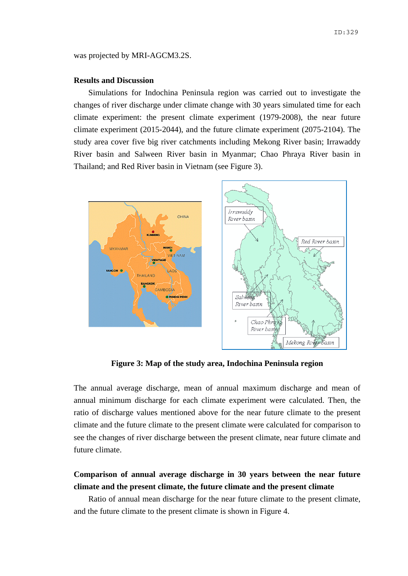was projected by MRI-AGCM3.2S.

#### **Results and Discussion**

 Simulations for Indochina Peninsula region was carried out to investigate the changes of river discharge under climate change with 30 years simulated time for each climate experiment: the present climate experiment (1979-2008), the near future climate experiment (2015-2044), and the future climate experiment (2075-2104). The study area cover five big river catchments including Mekong River basin; Irrawaddy River basin and Salween River basin in Myanmar; Chao Phraya River basin in Thailand; and Red River basin in Vietnam (see Figure 3).



**Figure 3: Map of the study area, Indochina Peninsula region**

The annual average discharge, mean of annual maximum discharge and mean of annual minimum discharge for each climate experiment were calculated. Then, the ratio of discharge values mentioned above for the near future climate to the present climate and the future climate to the present climate were calculated for comparison to see the changes of river discharge between the present climate, near future climate and future climate.

# **Comparison of annual average discharge in 30 years between the near future climate and the present climate, the future climate and the present climate**

 Ratio of annual mean discharge for the near future climate to the present climate, and the future climate to the present climate is shown in Figure 4.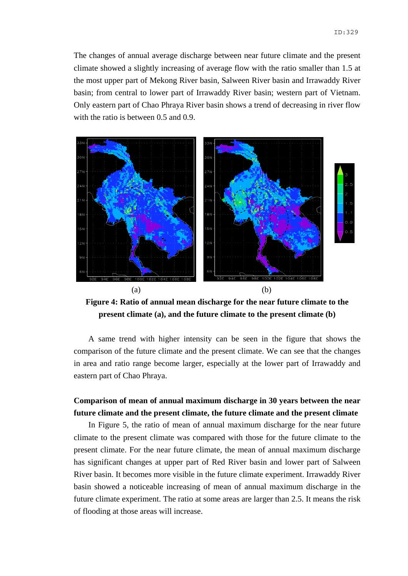The changes of annual average discharge between near future climate and the present climate showed a slightly increasing of average flow with the ratio smaller than 1.5 at the most upper part of Mekong River basin, Salween River basin and Irrawaddy River basin; from central to lower part of Irrawaddy River basin; western part of Vietnam. Only eastern part of Chao Phraya River basin shows a trend of decreasing in river flow with the ratio is between 0.5 and 0.9.



**Figure 4: Ratio of annual mean discharge for the near future climate to the present climate (a), and the future climate to the present climate (b)** 

 A same trend with higher intensity can be seen in the figure that shows the comparison of the future climate and the present climate. We can see that the changes in area and ratio range become larger, especially at the lower part of Irrawaddy and eastern part of Chao Phraya.

# **Comparison of mean of annual maximum discharge in 30 years between the near future climate and the present climate, the future climate and the present climate**

 In Figure 5, the ratio of mean of annual maximum discharge for the near future climate to the present climate was compared with those for the future climate to the present climate. For the near future climate, the mean of annual maximum discharge has significant changes at upper part of Red River basin and lower part of Salween River basin. It becomes more visible in the future climate experiment. Irrawaddy River basin showed a noticeable increasing of mean of annual maximum discharge in the future climate experiment. The ratio at some areas are larger than 2.5. It means the risk of flooding at those areas will increase.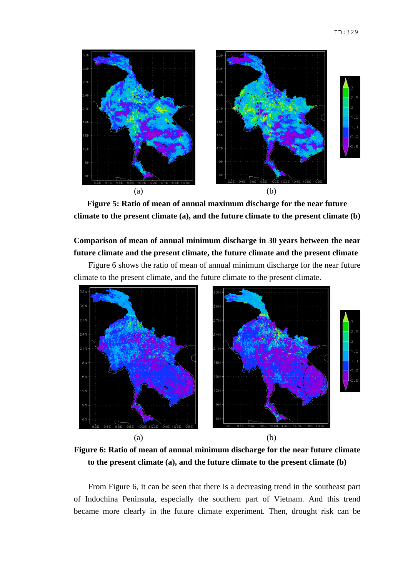

**Figure 5: Ratio of mean of annual maximum discharge for the near future climate to the present climate (a), and the future climate to the present climate (b)** 

# **Comparison of mean of annual minimum discharge in 30 years between the near future climate and the present climate, the future climate and the present climate**

 Figure 6 shows the ratio of mean of annual minimum discharge for the near future climate to the present climate, and the future climate to the present climate.



**Figure 6: Ratio of mean of annual minimum discharge for the near future climate to the present climate (a), and the future climate to the present climate (b)** 

 From Figure 6, it can be seen that there is a decreasing trend in the southeast part of Indochina Peninsula, especially the southern part of Vietnam. And this trend became more clearly in the future climate experiment. Then, drought risk can be